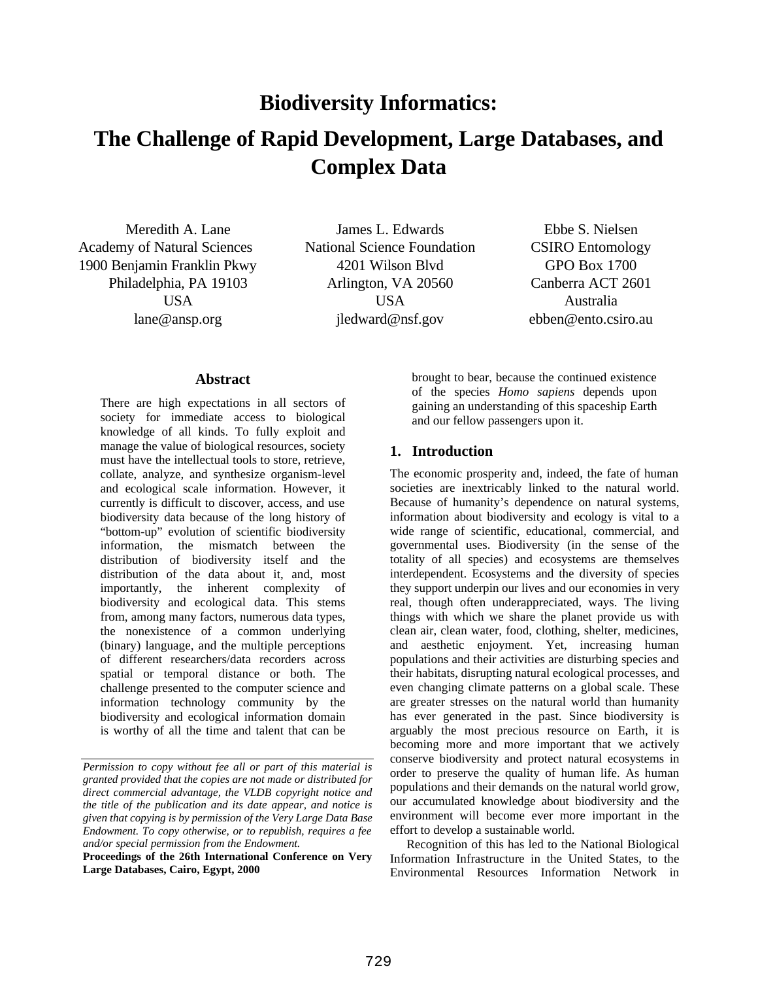# **Biodiversity Informatics: The Challenge of Rapid Development, Large Databases, and Complex Data**

Meredith A. Lane James L. Edwards Ebbe S. Nielsen Academy of Natural Sciences National Science Foundation CSIRO Entomology 1900 Benjamin Franklin Pkwy 4201 Wilson Blvd GPO Box 1700

Philadelphia, PA 19103 Arlington, VA 20560 Canberra ACT 2601 USA USA Australia lane@ansp.org jledward@nsf.gov ebben@ento.csiro.au

#### **Abstract**

There are high expectations in all sectors of society for immediate access to biological knowledge of all kinds. To fully exploit and manage the value of biological resources, society must have the intellectual tools to store, retrieve, collate, analyze, and synthesize organism-level and ecological scale information. However, it currently is difficult to discover, access, and use biodiversity data because of the long history of "bottom-up" evolution of scientific biodiversity information, the mismatch between the distribution of biodiversity itself and the distribution of the data about it, and, most importantly, the inherent complexity of biodiversity and ecological data. This stems from, among many factors, numerous data types, the nonexistence of a common underlying (binary) language, and the multiple perceptions of different researchers/data recorders across spatial or temporal distance or both. The challenge presented to the computer science and information technology community by the biodiversity and ecological information domain is worthy of all the time and talent that can be

brought to bear, because the continued existence of the species *Homo sapiens* depends upon gaining an understanding of this spaceship Earth and our fellow passengers upon it.

#### **1. Introduction**

The economic prosperity and, indeed, the fate of human societies are inextricably linked to the natural world. Because of humanity's dependence on natural systems, information about biodiversity and ecology is vital to a wide range of scientific, educational, commercial, and governmental uses. Biodiversity (in the sense of the totality of all species) and ecosystems are themselves interdependent. Ecosystems and the diversity of species they support underpin our lives and our economies in very real, though often underappreciated, ways. The living things with which we share the planet provide us with clean air, clean water, food, clothing, shelter, medicines, and aesthetic enjoyment. Yet, increasing human populations and their activities are disturbing species and their habitats, disrupting natural ecological processes, and even changing climate patterns on a global scale. These are greater stresses on the natural world than humanity has ever generated in the past. Since biodiversity is arguably the most precious resource on Earth, it is becoming more and more important that we actively conserve biodiversity and protect natural ecosystems in order to preserve the quality of human life. As human populations and their demands on the natural world grow, our accumulated knowledge about biodiversity and the environment will become ever more important in the effort to develop a sustainable world.

Recognition of this has led to the National Biological Information Infrastructure in the United States, to the Environmental Resources Information Network in

*Permission to copy without fee all or part of this material is granted provided that the copies are not made or distributed for direct commercial advantage, the VLDB copyright notice and the title of the publication and its date appear, and notice is given that copying is by permission of the Very Large Data Base Endowment. To copy otherwise, or to republish, requires a fee and/or special permission from the Endowment.*

**Proceedings of the 26th International Conference on Very Large Databases, Cairo, Egypt, 2000**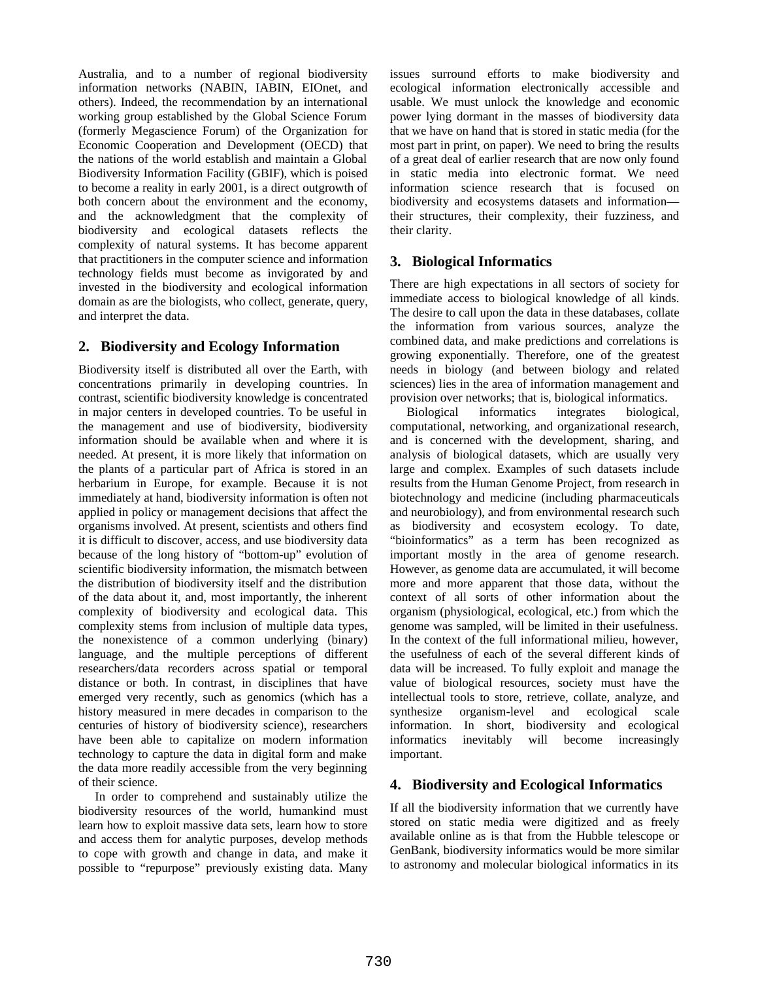Australia, and to a number of regional biodiversity information networks (NABIN, IABIN, EIOnet, and others). Indeed, the recommendation by an international working group established by the Global Science Forum (formerly Megascience Forum) of the Organization for Economic Cooperation and Development (OECD) that the nations of the world establish and maintain a Global Biodiversity Information Facility (GBIF), which is poised to become a reality in early 2001, is a direct outgrowth of both concern about the environment and the economy, and the acknowledgment that the complexity of biodiversity and ecological datasets reflects the complexity of natural systems. It has become apparent that practitioners in the computer science and information technology fields must become as invigorated by and invested in the biodiversity and ecological information domain as are the biologists, who collect, generate, query, and interpret the data.

## **2. Biodiversity and Ecology Information**

Biodiversity itself is distributed all over the Earth, with concentrations primarily in developing countries. In contrast, scientific biodiversity knowledge is concentrated in major centers in developed countries. To be useful in the management and use of biodiversity, biodiversity information should be available when and where it is needed. At present, it is more likely that information on the plants of a particular part of Africa is stored in an herbarium in Europe, for example. Because it is not immediately at hand, biodiversity information is often not applied in policy or management decisions that affect the organisms involved. At present, scientists and others find it is difficult to discover, access, and use biodiversity data because of the long history of "bottom-up" evolution of scientific biodiversity information, the mismatch between the distribution of biodiversity itself and the distribution of the data about it, and, most importantly, the inherent complexity of biodiversity and ecological data. This complexity stems from inclusion of multiple data types, the nonexistence of a common underlying (binary) language, and the multiple perceptions of different researchers/data recorders across spatial or temporal distance or both. In contrast, in disciplines that have emerged very recently, such as genomics (which has a history measured in mere decades in comparison to the centuries of history of biodiversity science), researchers have been able to capitalize on modern information technology to capture the data in digital form and make the data more readily accessible from the very beginning of their science.

In order to comprehend and sustainably utilize the biodiversity resources of the world, humankind must learn how to exploit massive data sets, learn how to store and access them for analytic purposes, develop methods to cope with growth and change in data, and make it possible to "repurpose" previously existing data. Many issues surround efforts to make biodiversity and ecological information electronically accessible and usable. We must unlock the knowledge and economic power lying dormant in the masses of biodiversity data that we have on hand that is stored in static media (for the most part in print, on paper). We need to bring the results of a great deal of earlier research that are now only found in static media into electronic format. We need information science research that is focused on biodiversity and ecosystems datasets and information their structures, their complexity, their fuzziness, and their clarity.

## **3. Biological Informatics**

There are high expectations in all sectors of society for immediate access to biological knowledge of all kinds. The desire to call upon the data in these databases, collate the information from various sources, analyze the combined data, and make predictions and correlations is growing exponentially. Therefore, one of the greatest needs in biology (and between biology and related sciences) lies in the area of information management and provision over networks; that is, biological informatics.

Biological informatics integrates biological, computational, networking, and organizational research, and is concerned with the development, sharing, and analysis of biological datasets, which are usually very large and complex. Examples of such datasets include results from the Human Genome Project, from research in biotechnology and medicine (including pharmaceuticals and neurobiology), and from environmental research such as biodiversity and ecosystem ecology. To date, "bioinformatics" as a term has been recognized as important mostly in the area of genome research. However, as genome data are accumulated, it will become more and more apparent that those data, without the context of all sorts of other information about the organism (physiological, ecological, etc.) from which the genome was sampled, will be limited in their usefulness. In the context of the full informational milieu, however, the usefulness of each of the several different kinds of data will be increased. To fully exploit and manage the value of biological resources, society must have the intellectual tools to store, retrieve, collate, analyze, and synthesize organism-level and ecological scale information. In short, biodiversity and ecological informatics inevitably will become increasingly important.

## **4. Biodiversity and Ecological Informatics**

If all the biodiversity information that we currently have stored on static media were digitized and as freely available online as is that from the Hubble telescope or GenBank, biodiversity informatics would be more similar to astronomy and molecular biological informatics in its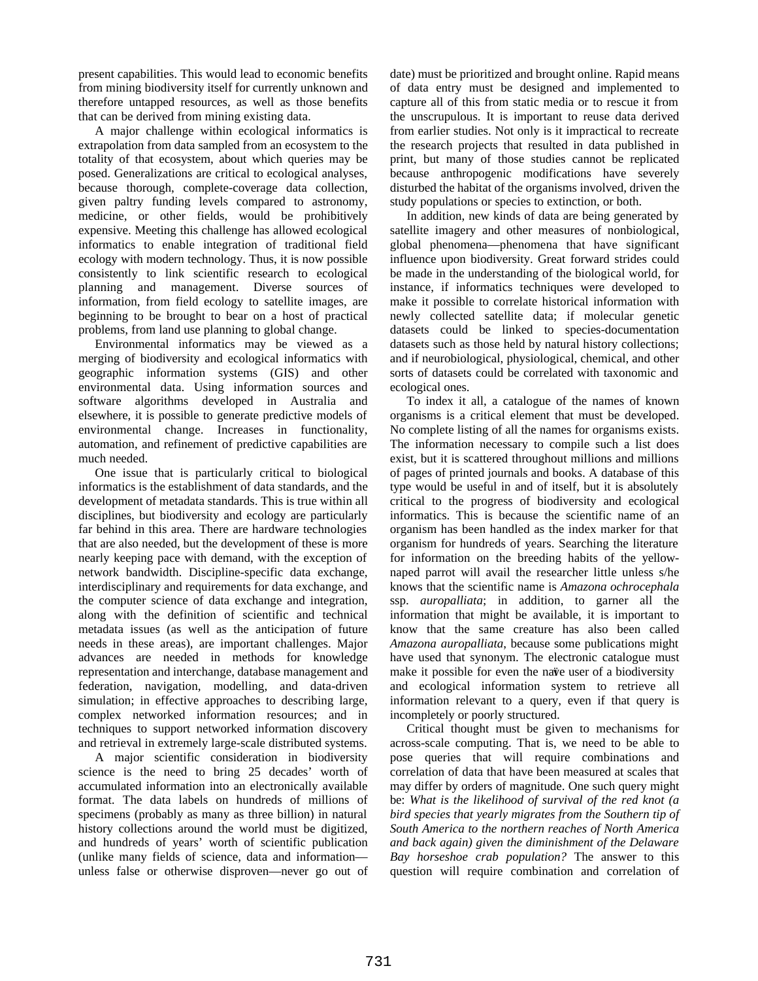present capabilities. This would lead to economic benefits from mining biodiversity itself for currently unknown and therefore untapped resources, as well as those benefits that can be derived from mining existing data.

A major challenge within ecological informatics is extrapolation from data sampled from an ecosystem to the totality of that ecosystem, about which queries may be posed. Generalizations are critical to ecological analyses, because thorough, complete-coverage data collection, given paltry funding levels compared to astronomy, medicine, or other fields, would be prohibitively expensive. Meeting this challenge has allowed ecological informatics to enable integration of traditional field ecology with modern technology. Thus, it is now possible consistently to link scientific research to ecological planning and management. Diverse sources of information, from field ecology to satellite images, are beginning to be brought to bear on a host of practical problems, from land use planning to global change.

Environmental informatics may be viewed as a merging of biodiversity and ecological informatics with geographic information systems (GIS) and other environmental data. Using information sources and software algorithms developed in Australia and elsewhere, it is possible to generate predictive models of environmental change. Increases in functionality, automation, and refinement of predictive capabilities are much needed.

One issue that is particularly critical to biological informatics is the establishment of data standards, and the development of metadata standards. This is true within all disciplines, but biodiversity and ecology are particularly far behind in this area. There are hardware technologies that are also needed, but the development of these is more nearly keeping pace with demand, with the exception of network bandwidth. Discipline-specific data exchange, interdisciplinary and requirements for data exchange, and the computer science of data exchange and integration, along with the definition of scientific and technical metadata issues (as well as the anticipation of future needs in these areas), are important challenges. Major advances are needed in methods for knowledge representation and interchange, database management and federation, navigation, modelling, and data-driven simulation; in effective approaches to describing large, complex networked information resources; and in techniques to support networked information discovery and retrieval in extremely large-scale distributed systems.

A major scientific consideration in biodiversity science is the need to bring 25 decades' worth of accumulated information into an electronically available format. The data labels on hundreds of millions of specimens (probably as many as three billion) in natural history collections around the world must be digitized, and hundreds of years' worth of scientific publication (unlike many fields of science, data and information unless false or otherwise disproven—never go out of date) must be prioritized and brought online. Rapid means of data entry must be designed and implemented to capture all of this from static media or to rescue it from the unscrupulous. It is important to reuse data derived from earlier studies. Not only is it impractical to recreate the research projects that resulted in data published in print, but many of those studies cannot be replicated because anthropogenic modifications have severely disturbed the habitat of the organisms involved, driven the study populations or species to extinction, or both.

In addition, new kinds of data are being generated by satellite imagery and other measures of nonbiological, global phenomena—phenomena that have significant influence upon biodiversity. Great forward strides could be made in the understanding of the biological world, for instance, if informatics techniques were developed to make it possible to correlate historical information with newly collected satellite data; if molecular genetic datasets could be linked to species-documentation datasets such as those held by natural history collections; and if neurobiological, physiological, chemical, and other sorts of datasets could be correlated with taxonomic and ecological ones.

To index it all, a catalogue of the names of known organisms is a critical element that must be developed. No complete listing of all the names for organisms exists. The information necessary to compile such a list does exist, but it is scattered throughout millions and millions of pages of printed journals and books. A database of this type would be useful in and of itself, but it is absolutely critical to the progress of biodiversity and ecological informatics. This is because the scientific name of an organism has been handled as the index marker for that organism for hundreds of years. Searching the literature for information on the breeding habits of the yellownaped parrot will avail the researcher little unless s/he knows that the scientific name is *Amazona ochrocephala* ssp. *auropalliata*; in addition, to garner all the information that might be available, it is important to know that the same creature has also been called *Amazona auropalliata*, because some publications might have used that synonym. The electronic catalogue must make it possible for even the nave user of a biodiversity and ecological information system to retrieve all information relevant to a query, even if that query is incompletely or poorly structured.

Critical thought must be given to mechanisms for across-scale computing. That is, we need to be able to pose queries that will require combinations and correlation of data that have been measured at scales that may differ by orders of magnitude. One such query might be: *What is the likelihood of survival of the red knot (a bird species that yearly migrates from the Southern tip of South America to the northern reaches of North America and back again) given the diminishment of the Delaware Bay horseshoe crab population?* The answer to this question will require combination and correlation of